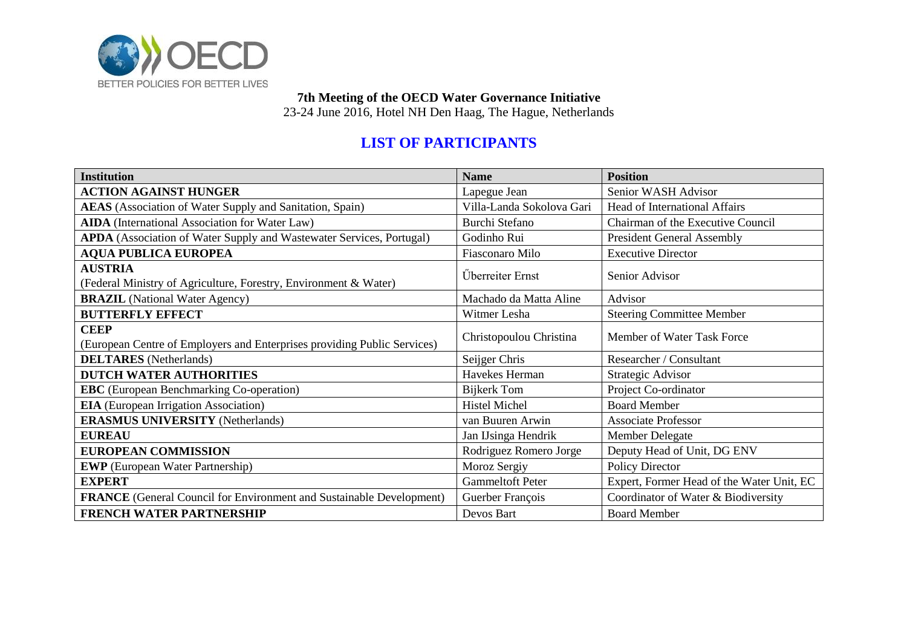

**7th Meeting of the OECD Water Governance Initiative**

23-24 June 2016, Hotel NH Den Haag, The Hague, Netherlands

## **LIST OF PARTICIPANTS**

| <b>Institution</b>                                                                      | <b>Name</b>               | <b>Position</b>                           |  |
|-----------------------------------------------------------------------------------------|---------------------------|-------------------------------------------|--|
| <b>ACTION AGAINST HUNGER</b>                                                            | Lapegue Jean              | Senior WASH Advisor                       |  |
| AEAS (Association of Water Supply and Sanitation, Spain)                                | Villa-Landa Sokolova Gari | <b>Head of International Affairs</b>      |  |
| <b>AIDA</b> (International Association for Water Law)                                   | <b>Burchi Stefano</b>     | Chairman of the Executive Council         |  |
| APDA (Association of Water Supply and Wastewater Services, Portugal)                    | Godinho Rui               | <b>President General Assembly</b>         |  |
| <b>AQUA PUBLICA EUROPEA</b>                                                             | Fiasconaro Milo           | <b>Executive Director</b>                 |  |
| <b>AUSTRIA</b><br>(Federal Ministry of Agriculture, Forestry, Environment & Water)      | Überreiter Ernst          | Senior Advisor                            |  |
| <b>BRAZIL</b> (National Water Agency)                                                   | Machado da Matta Aline    | Advisor                                   |  |
| <b>BUTTERFLY EFFECT</b>                                                                 | Witmer Lesha              | <b>Steering Committee Member</b>          |  |
| <b>CEEP</b><br>(European Centre of Employers and Enterprises providing Public Services) | Christopoulou Christina   | Member of Water Task Force                |  |
| <b>DELTARES</b> (Netherlands)                                                           | Seijger Chris             | Researcher / Consultant                   |  |
| <b>DUTCH WATER AUTHORITIES</b>                                                          | Havekes Herman            | Strategic Advisor                         |  |
| <b>EBC</b> (European Benchmarking Co-operation)                                         | <b>Bijkerk Tom</b>        | Project Co-ordinator                      |  |
| <b>EIA</b> (European Irrigation Association)                                            | <b>Histel Michel</b>      | <b>Board Member</b>                       |  |
| <b>ERASMUS UNIVERSITY (Netherlands)</b>                                                 | van Buuren Arwin          | <b>Associate Professor</b>                |  |
| <b>EUREAU</b>                                                                           | Jan IJsinga Hendrik       | Member Delegate                           |  |
| <b>EUROPEAN COMMISSION</b>                                                              | Rodriguez Romero Jorge    | Deputy Head of Unit, DG ENV               |  |
| <b>EWP</b> (European Water Partnership)                                                 | Moroz Sergiy              | Policy Director                           |  |
| <b>EXPERT</b>                                                                           | <b>Gammeltoft Peter</b>   | Expert, Former Head of the Water Unit, EC |  |
| <b>FRANCE</b> (General Council for Environment and Sustainable Development)             | Guerber François          | Coordinator of Water & Biodiversity       |  |
| FRENCH WATER PARTNERSHIP                                                                | Devos Bart                | <b>Board Member</b>                       |  |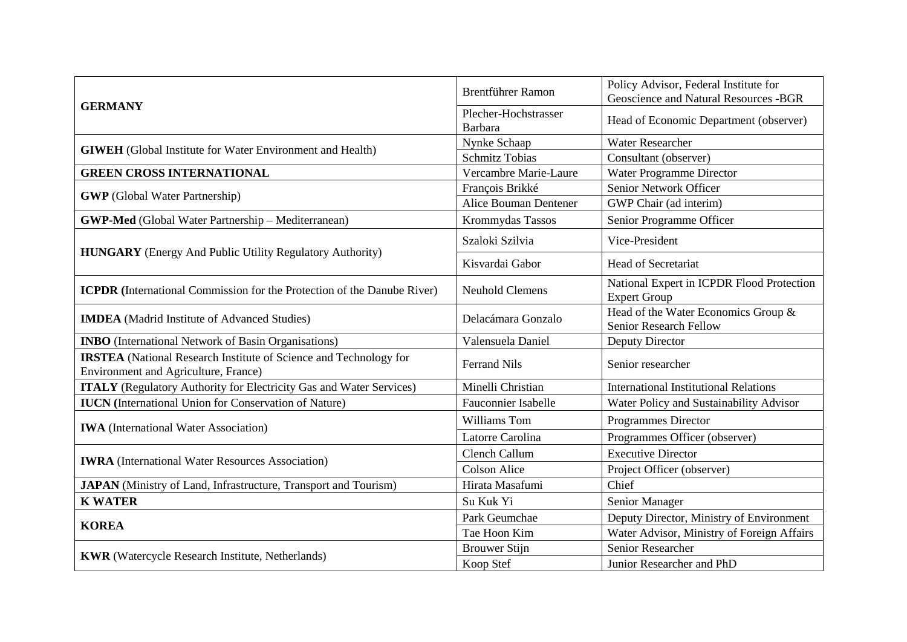|                                                                                                                  | <b>Brentführer Ramon</b>        | Policy Advisor, Federal Institute for<br>Geoscience and Natural Resources -BGR |  |
|------------------------------------------------------------------------------------------------------------------|---------------------------------|--------------------------------------------------------------------------------|--|
| <b>GERMANY</b>                                                                                                   | Plecher-Hochstrasser<br>Barbara | Head of Economic Department (observer)                                         |  |
| <b>GIWEH</b> (Global Institute for Water Environment and Health)                                                 | Nynke Schaap                    | <b>Water Researcher</b>                                                        |  |
|                                                                                                                  | <b>Schmitz Tobias</b>           | Consultant (observer)                                                          |  |
| <b>GREEN CROSS INTERNATIONAL</b>                                                                                 | Vercambre Marie-Laure           | Water Programme Director                                                       |  |
| <b>GWP</b> (Global Water Partnership)                                                                            | François Brikké                 | Senior Network Officer                                                         |  |
|                                                                                                                  | <b>Alice Bouman Dentener</b>    | GWP Chair (ad interim)                                                         |  |
| <b>GWP-Med</b> (Global Water Partnership - Mediterranean)                                                        | Krommydas Tassos                | Senior Programme Officer                                                       |  |
| <b>HUNGARY</b> (Energy And Public Utility Regulatory Authority)                                                  | Szaloki Szilvia                 | Vice-President                                                                 |  |
|                                                                                                                  | Kisvardai Gabor                 | <b>Head of Secretariat</b>                                                     |  |
| <b>ICPDR</b> (International Commission for the Protection of the Danube River)                                   | <b>Neuhold Clemens</b>          | National Expert in ICPDR Flood Protection<br><b>Expert Group</b>               |  |
| <b>IMDEA</b> (Madrid Institute of Advanced Studies)                                                              | Delacámara Gonzalo              | Head of the Water Economics Group &<br><b>Senior Research Fellow</b>           |  |
| <b>INBO</b> (International Network of Basin Organisations)                                                       | Valensuela Daniel               | Deputy Director                                                                |  |
| <b>IRSTEA</b> (National Research Institute of Science and Technology for<br>Environment and Agriculture, France) | <b>Ferrand Nils</b>             | Senior researcher                                                              |  |
| <b>ITALY</b> (Regulatory Authority for Electricity Gas and Water Services)                                       | Minelli Christian               | <b>International Institutional Relations</b>                                   |  |
| <b>IUCN</b> (International Union for Conservation of Nature)                                                     | <b>Fauconnier Isabelle</b>      | Water Policy and Sustainability Advisor                                        |  |
| <b>IWA</b> (International Water Association)                                                                     | Williams Tom                    | <b>Programmes Director</b>                                                     |  |
|                                                                                                                  | Latorre Carolina                | Programmes Officer (observer)                                                  |  |
| <b>IWRA</b> (International Water Resources Association)                                                          | Clench Callum                   | <b>Executive Director</b>                                                      |  |
|                                                                                                                  | <b>Colson Alice</b>             | Project Officer (observer)                                                     |  |
| <b>JAPAN</b> (Ministry of Land, Infrastructure, Transport and Tourism)                                           | Hirata Masafumi                 | Chief                                                                          |  |
| <b>K WATER</b>                                                                                                   | Su Kuk Yi                       | Senior Manager                                                                 |  |
| <b>KOREA</b>                                                                                                     | Park Geumchae                   | Deputy Director, Ministry of Environment                                       |  |
|                                                                                                                  | Tae Hoon Kim                    | Water Advisor, Ministry of Foreign Affairs                                     |  |
| <b>KWR</b> (Watercycle Research Institute, Netherlands)                                                          | <b>Brouwer Stijn</b>            | <b>Senior Researcher</b>                                                       |  |
|                                                                                                                  | Koop Stef                       | Junior Researcher and PhD                                                      |  |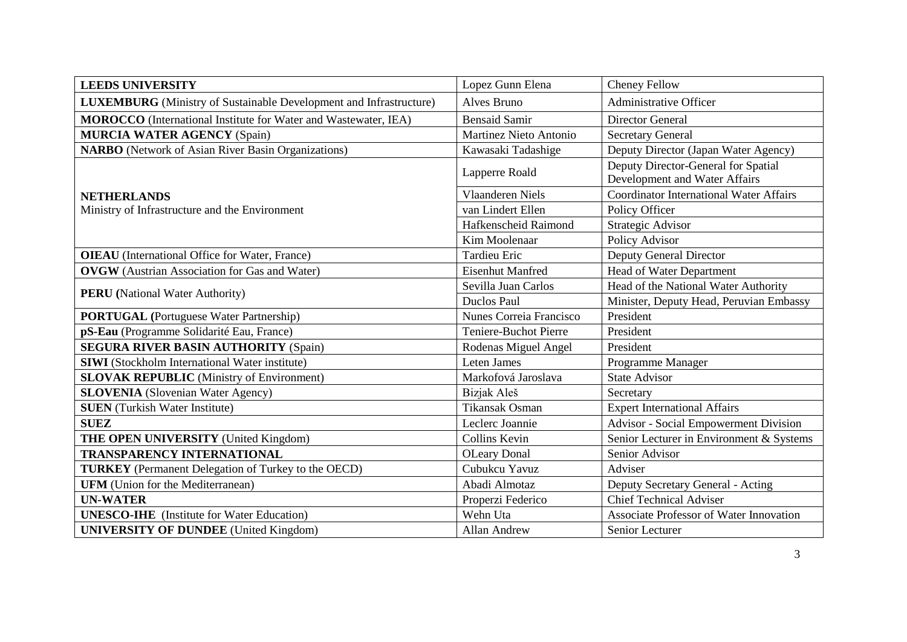| <b>LEEDS UNIVERSITY</b>                                                   | Lopez Gunn Elena                       | Cheney Fellow                                  |  |
|---------------------------------------------------------------------------|----------------------------------------|------------------------------------------------|--|
| <b>LUXEMBURG</b> (Ministry of Sustainable Development and Infrastructure) | Alves Bruno                            | Administrative Officer                         |  |
| <b>MOROCCO</b> (International Institute for Water and Wastewater, IEA)    | <b>Bensaid Samir</b>                   | Director General                               |  |
| <b>MURCIA WATER AGENCY (Spain)</b>                                        | Martinez Nieto Antonio                 | <b>Secretary General</b>                       |  |
| <b>NARBO</b> (Network of Asian River Basin Organizations)                 | Kawasaki Tadashige                     | Deputy Director (Japan Water Agency)           |  |
|                                                                           | Lapperre Roald                         | Deputy Director-General for Spatial            |  |
|                                                                           |                                        | Development and Water Affairs                  |  |
| <b>NETHERLANDS</b>                                                        | <b>Vlaanderen Niels</b>                | <b>Coordinator International Water Affairs</b> |  |
| Ministry of Infrastructure and the Environment                            | van Lindert Ellen                      | Policy Officer                                 |  |
|                                                                           | Hafkenscheid Raimond                   | Strategic Advisor                              |  |
|                                                                           | Kim Moolenaar                          | Policy Advisor                                 |  |
| <b>OIEAU</b> (International Office for Water, France)                     | <b>Tardieu Eric</b>                    | <b>Deputy General Director</b>                 |  |
| <b>OVGW</b> (Austrian Association for Gas and Water)                      | <b>Eisenhut Manfred</b>                | Head of Water Department                       |  |
|                                                                           | Sevilla Juan Carlos                    | Head of the National Water Authority           |  |
| <b>PERU</b> (National Water Authority)                                    | Duclos Paul                            | Minister, Deputy Head, Peruvian Embassy        |  |
| <b>PORTUGAL</b> (Portuguese Water Partnership)                            | Nunes Correia Francisco                | President                                      |  |
| pS-Eau (Programme Solidarité Eau, France)                                 | <b>Teniere-Buchot Pierre</b>           | President                                      |  |
| <b>SEGURA RIVER BASIN AUTHORITY (Spain)</b>                               | Rodenas Miguel Angel                   | President                                      |  |
| <b>SIWI</b> (Stockholm International Water institute)                     | Leten James                            | Programme Manager                              |  |
| <b>SLOVAK REPUBLIC</b> (Ministry of Environment)                          | Markofová Jaroslava                    | <b>State Advisor</b>                           |  |
| <b>SLOVENIA</b> (Slovenian Water Agency)                                  | Bizjak Aleš                            | Secretary                                      |  |
| <b>SUEN</b> (Turkish Water Institute)                                     | Tikansak Osman                         | <b>Expert International Affairs</b>            |  |
| <b>SUEZ</b>                                                               | Leclerc Joannie                        | Advisor - Social Empowerment Division          |  |
| <b>THE OPEN UNIVERSITY</b> (United Kingdom)                               | Collins Kevin                          | Senior Lecturer in Environment & Systems       |  |
| <b>TRANSPARENCY INTERNATIONAL</b>                                         | <b>OLeary Donal</b>                    | Senior Advisor                                 |  |
| <b>TURKEY</b> (Permanent Delegation of Turkey to the OECD)                | Cubukcu Yavuz                          | Adviser                                        |  |
| <b>UFM</b> (Union for the Mediterranean)                                  | Abadi Almotaz                          | Deputy Secretary General - Acting              |  |
| <b>UN-WATER</b>                                                           | Properzi Federico                      | <b>Chief Technical Adviser</b>                 |  |
| <b>UNESCO-IHE</b> (Institute for Water Education)                         | Wehn Uta                               | Associate Professor of Water Innovation        |  |
| <b>UNIVERSITY OF DUNDEE</b> (United Kingdom)                              | <b>Allan Andrew</b><br>Senior Lecturer |                                                |  |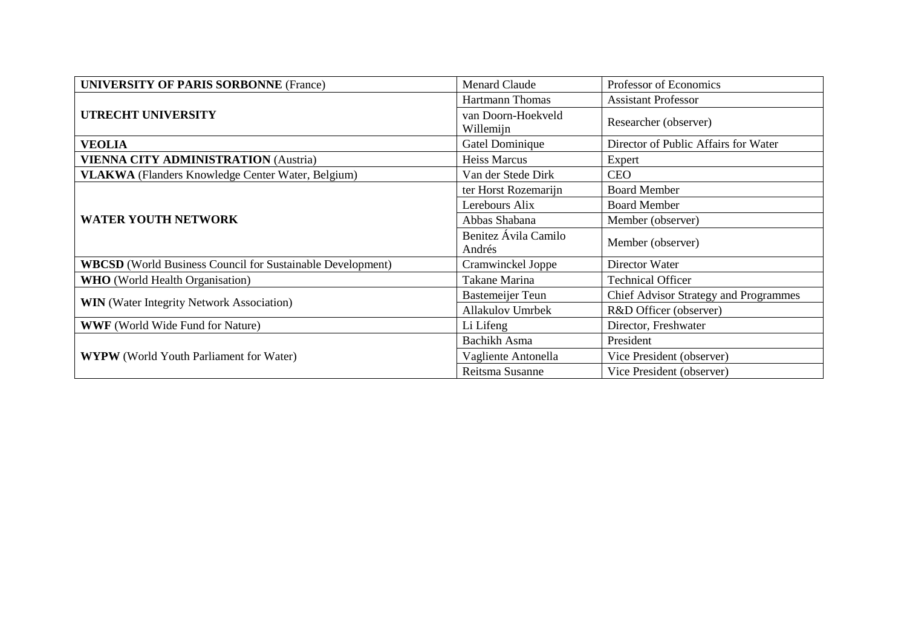| <b>UNIVERSITY OF PARIS SORBONNE (France)</b>                      | <b>Menard Claude</b>            | Professor of Economics                |  |
|-------------------------------------------------------------------|---------------------------------|---------------------------------------|--|
| <b>UTRECHT UNIVERSITY</b>                                         | <b>Hartmann Thomas</b>          | <b>Assistant Professor</b>            |  |
|                                                                   | van Doorn-Hoekveld<br>Willemijn | Researcher (observer)                 |  |
| <b>VEOLIA</b>                                                     | Gatel Dominique                 | Director of Public Affairs for Water  |  |
| <b>VIENNA CITY ADMINISTRATION (Austria)</b>                       | <b>Heiss Marcus</b>             | Expert                                |  |
| VLAKWA (Flanders Knowledge Center Water, Belgium)                 | Van der Stede Dirk              | <b>CEO</b>                            |  |
| <b>WATER YOUTH NETWORK</b>                                        | ter Horst Rozemarijn            | <b>Board Member</b>                   |  |
|                                                                   | Lerebours Alix                  | <b>Board Member</b>                   |  |
|                                                                   | Abbas Shabana                   | Member (observer)                     |  |
|                                                                   | Benitez Ávila Camilo<br>Andrés  | Member (observer)                     |  |
| <b>WBCSD</b> (World Business Council for Sustainable Development) | Cramwinckel Joppe               | Director Water                        |  |
| <b>WHO</b> (World Health Organisation)                            | Takane Marina                   | <b>Technical Officer</b>              |  |
| <b>WIN</b> (Water Integrity Network Association)                  | <b>Bastemeijer Teun</b>         | Chief Advisor Strategy and Programmes |  |
|                                                                   | <b>Allakulov Umrbek</b>         | R&D Officer (observer)                |  |
| <b>WWF</b> (World Wide Fund for Nature)                           | Li Lifeng                       | Director, Freshwater                  |  |
| <b>WYPW</b> (World Youth Parliament for Water)                    | Bachikh Asma                    | President                             |  |
|                                                                   | Vagliente Antonella             | Vice President (observer)             |  |
|                                                                   | Reitsma Susanne                 | Vice President (observer)             |  |